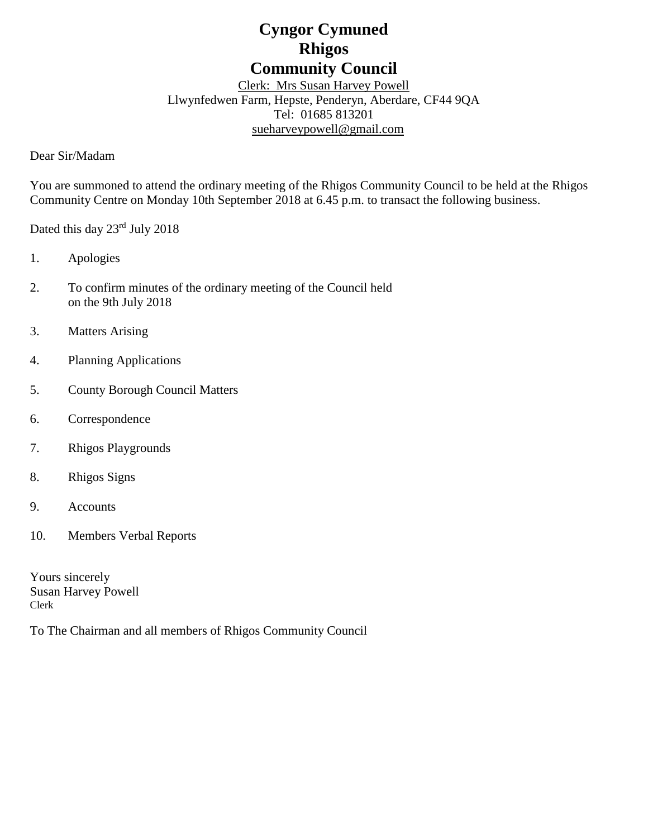# **Cyngor Cymuned Rhigos Community Council**

Clerk: Mrs Susan Harvey Powell Llwynfedwen Farm, Hepste, Penderyn, Aberdare, CF44 9QA Tel: 01685 813201 [sueharveypowell@g](mailto:sharveypowell@comin-infants.co.uk)mail.com

Dear Sir/Madam

You are summoned to attend the ordinary meeting of the Rhigos Community Council to be held at the Rhigos Community Centre on Monday 10th September 2018 at 6.45 p.m. to transact the following business.

Dated this day 23rd July 2018

- 1. Apologies
- 2. To confirm minutes of the ordinary meeting of the Council held on the 9th July 2018
- 3. Matters Arising
- 4. Planning Applications
- 5. County Borough Council Matters
- 6. Correspondence
- 7. Rhigos Playgrounds
- 8. Rhigos Signs
- 9. Accounts
- 10. Members Verbal Reports

Yours sincerely Susan Harvey Powell Clerk

To The Chairman and all members of Rhigos Community Council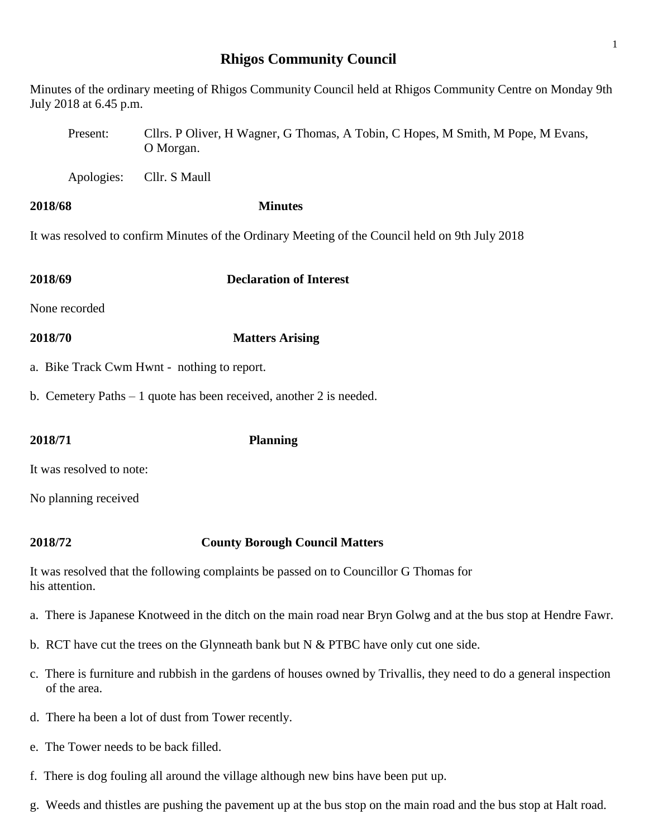# **Rhigos Community Council**

| July 2018 at 6.45 p.m.                                                                                                              | Minutes of the ordinary meeting of Rhigos Community Council held at Rhigos Community Centre on Monday 9th       |  |  |
|-------------------------------------------------------------------------------------------------------------------------------------|-----------------------------------------------------------------------------------------------------------------|--|--|
| Present:                                                                                                                            | Cllrs. P Oliver, H Wagner, G Thomas, A Tobin, C Hopes, M Smith, M Pope, M Evans,<br>O Morgan.                   |  |  |
| Apologies:                                                                                                                          | Cllr. S Maull                                                                                                   |  |  |
| 2018/68                                                                                                                             | <b>Minutes</b>                                                                                                  |  |  |
|                                                                                                                                     | It was resolved to confirm Minutes of the Ordinary Meeting of the Council held on 9th July 2018                 |  |  |
| 2018/69                                                                                                                             | <b>Declaration of Interest</b>                                                                                  |  |  |
| None recorded                                                                                                                       |                                                                                                                 |  |  |
| 2018/70                                                                                                                             | <b>Matters Arising</b>                                                                                          |  |  |
|                                                                                                                                     | a. Bike Track Cwm Hwnt - nothing to report.                                                                     |  |  |
|                                                                                                                                     | b. Cemetery Paths $-1$ quote has been received, another 2 is needed.                                            |  |  |
| 2018/71                                                                                                                             | <b>Planning</b>                                                                                                 |  |  |
| It was resolved to note:                                                                                                            |                                                                                                                 |  |  |
| No planning received                                                                                                                |                                                                                                                 |  |  |
| 2018/72                                                                                                                             | <b>County Borough Council Matters</b>                                                                           |  |  |
| his attention.                                                                                                                      | It was resolved that the following complaints be passed on to Councillor G Thomas for                           |  |  |
|                                                                                                                                     | a. There is Japanese Knotweed in the ditch on the main road near Bryn Golwg and at the bus stop at Hendre Fawr. |  |  |
|                                                                                                                                     | b. RCT have cut the trees on the Glynneath bank but $N & PTBC$ have only cut one side.                          |  |  |
| c. There is furniture and rubbish in the gardens of houses owned by Trivallis, they need to do a general inspection<br>of the area. |                                                                                                                 |  |  |
|                                                                                                                                     | d. There ha been a lot of dust from Tower recently.                                                             |  |  |

- e. The Tower needs to be back filled.
- f. There is dog fouling all around the village although new bins have been put up.
- g. Weeds and thistles are pushing the pavement up at the bus stop on the main road and the bus stop at Halt road.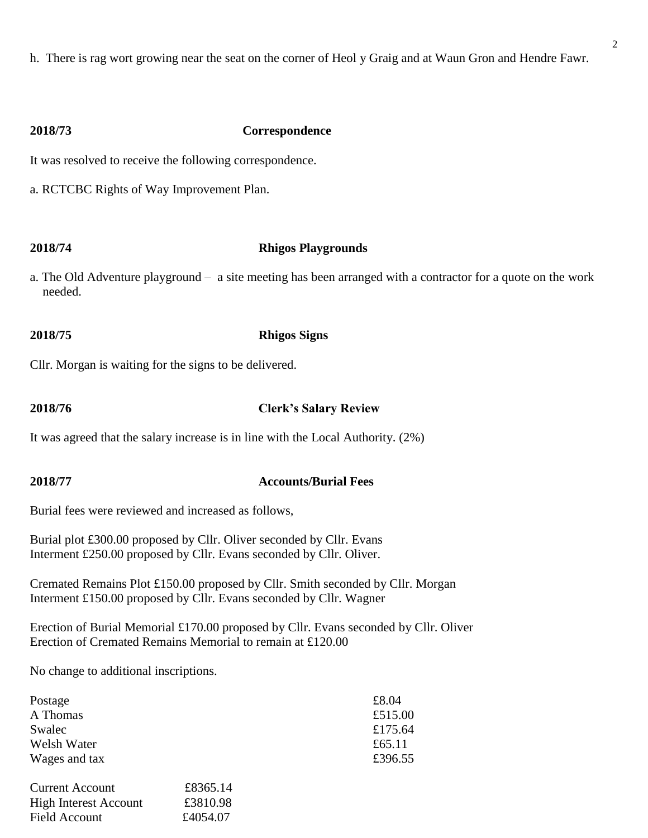h. There is rag wort growing near the seat on the corner of Heol y Graig and at Waun Gron and Hendre Fawr.

### **2018/73 Correspondence**

It was resolved to receive the following correspondence.

a. RCTCBC Rights of Way Improvement Plan.

### **2018/74 Rhigos Playgrounds**

a. The Old Adventure playground – a site meeting has been arranged with a contractor for a quote on the work needed.

# **2018/75 Rhigos Signs**

Cllr. Morgan is waiting for the signs to be delivered.

## **2018/76 Clerk's Salary Review**

It was agreed that the salary increase is in line with the Local Authority. (2%)

### **2018/77 Accounts/Burial Fees**

Burial fees were reviewed and increased as follows,

Burial plot £300.00 proposed by Cllr. Oliver seconded by Cllr. Evans Interment £250.00 proposed by Cllr. Evans seconded by Cllr. Oliver.

Cremated Remains Plot £150.00 proposed by Cllr. Smith seconded by Cllr. Morgan Interment £150.00 proposed by Cllr. Evans seconded by Cllr. Wagner

Erection of Burial Memorial £170.00 proposed by Cllr. Evans seconded by Cllr. Oliver Erection of Cremated Remains Memorial to remain at £120.00

No change to additional inscriptions.

| Postage                |          | £8.04   |
|------------------------|----------|---------|
|                        |          |         |
| A Thomas               |          | £515.00 |
| Swalec                 | £175.64  |         |
| Welsh Water            | £65.11   |         |
| Wages and tax          | £396.55  |         |
| <b>Current Account</b> | £8365.14 |         |
| High Interest Account  | £3810.98 |         |

High Interest Account £3810.98 Field Account £4054.07